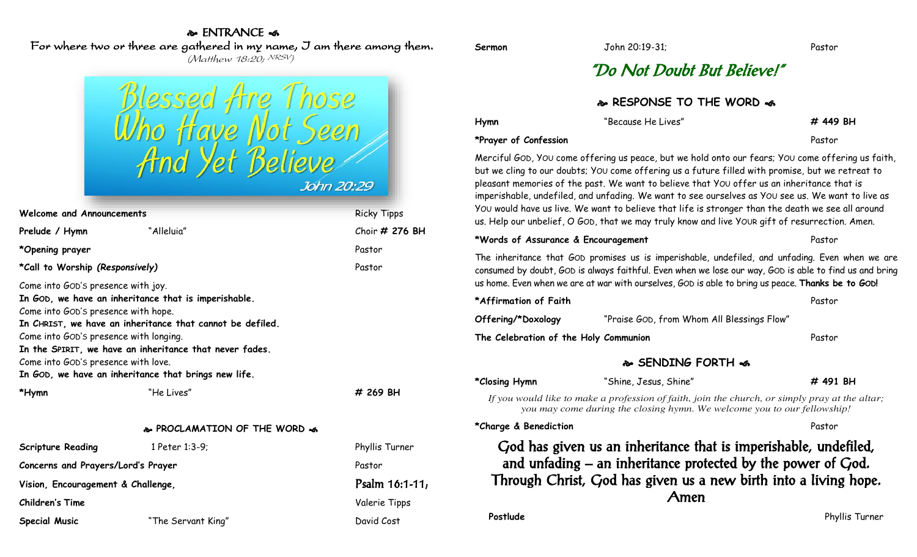## **& ENTRANCE &**

For where two or three are gathered in my name, I am there among them. (Matthew 18:20; NRSV)

|                                                                                                                      | essed Are Those<br>Have Not S<br>And Yet Be                                                                                                                                                                                          | John 20:29         |
|----------------------------------------------------------------------------------------------------------------------|--------------------------------------------------------------------------------------------------------------------------------------------------------------------------------------------------------------------------------------|--------------------|
| <b>Welcome and Announcements</b>                                                                                     |                                                                                                                                                                                                                                      | <b>Ricky Tipps</b> |
| Prelude / Hymn                                                                                                       | "Alleluia"                                                                                                                                                                                                                           | Choir $#$ 276 BH   |
| *Opening prayer                                                                                                      |                                                                                                                                                                                                                                      | Pastor             |
| *Call to Worship (Responsively)                                                                                      |                                                                                                                                                                                                                                      | Pastor             |
| Come into GOD's presence with hope.<br>Come into GOD's presence with longing.<br>Come into GOD's presence with love. | In GOD, we have an inheritance that is imperishable.<br>In CHRIST, we have an inheritance that cannot be defiled.<br>In the SPIRIT, we have an inheritance that never fades.<br>In GOD, we have an inheritance that brings new life. |                    |
| *Hymn                                                                                                                | "He Lives"                                                                                                                                                                                                                           | # 269 BH           |
|                                                                                                                      | & PROCLAMATION OF THE WORD &                                                                                                                                                                                                         |                    |
| <b>Scripture Reading</b>                                                                                             | 1 Peter 1:3-9;                                                                                                                                                                                                                       | Phyllis Turner     |
| Concerns and Prayers/Lord's Prayer                                                                                   |                                                                                                                                                                                                                                      | Pastor             |
| Vision, Encouragement & Challenge,                                                                                   | Psalm 16:1-11,                                                                                                                                                                                                                       |                    |
| <b>Children's Time</b>                                                                                               | Valerie Tipps                                                                                                                                                                                                                        |                    |
|                                                                                                                      |                                                                                                                                                                                                                                      |                    |

**Special Music Case 1 The Servant King"** The Servant King Cost 2008 The Servant King Cost 2008 The Servant King Cost

"Do Not Doubt But Believe!" **& RESPONSE TO THE WORD & Hymn** "Because He Lives" **# 449 BH \*Prayer of Confession Pastor Pastor Pastor** 

Merciful GOD, YOU come offering us peace, but we hold onto our fears; YOU come offering us faith, but we cling to our doubts; YOU come offering us a future filled with promise, but we retreat to pleasant memories of the past. We want to believe that YOU offer us an inheritance that is imperishable, undefiled, and unfading. We want to see ourselves as YOU see us. We want to live as YOU would have us live. We want to believe that life is stronger than the death we see all around us. Help our unbelief, O GOD, that we may truly know and live YOUR gift of resurrection. Amen.

#### **\*Words of Assurance & Encouragement** Pastor

The inheritance that GOD promises us is imperishable, undefiled, and unfading. Even when we are consumed by doubt, GOD is always faithful. Even when we lose our way, GOD is able to find us and bring us home. Even when we are at war with ourselves, GOD is able to bring us peace. **Thanks be to GOD!**

| *Affirmation of Faith                 |                                            | Pastor |
|---------------------------------------|--------------------------------------------|--------|
| Offering/*Doxology                    | "Praise GOD, from Whom All Blessings Flow" |        |
| The Celebration of the Holy Communion |                                            | Pastor |

## **SENDING FORTH**  $\cdot$ **6**

| *Closing Hymn         | "Shine, Jesus, Shine"                                                                                                                                                                                             | #491 BH        |
|-----------------------|-------------------------------------------------------------------------------------------------------------------------------------------------------------------------------------------------------------------|----------------|
|                       | If you would like to make a profession of faith, join the church, or simply pray at the altar;<br>you may come during the closing hymn. We welcome you to our fellowship!                                         |                |
| *Charge & Benediction |                                                                                                                                                                                                                   | Pastor         |
|                       | God has given us an inheritance that is imperishable, undefiled,<br>and unfading $-$ an inheritance protected by the power of $God$ .<br>Through Christ, God has given us a new birth into a living hope.<br>Amen |                |
| Postlude              |                                                                                                                                                                                                                   | Phyllis Turner |

**Sermon** John 20:19-31; Pastor